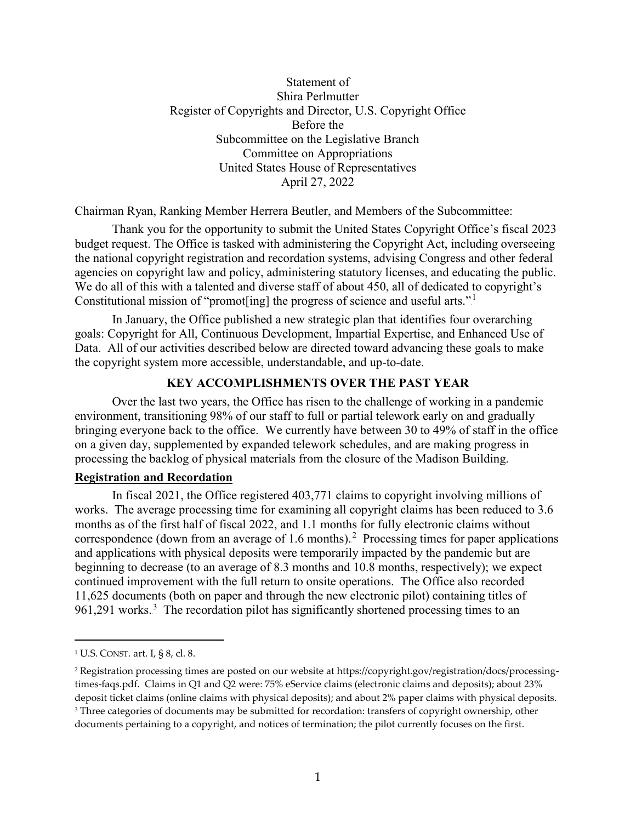# Statement of Shira Perlmutter Register of Copyrights and Director, U.S. Copyright Office Before the Subcommittee on the Legislative Branch Committee on Appropriations United States House of Representatives April 27, 2022

Chairman Ryan, Ranking Member Herrera Beutler, and Members of the Subcommittee:

Thank you for the opportunity to submit the United States Copyright Office's fiscal 2023 budget request. The Office is tasked with administering the Copyright Act, including overseeing the national copyright registration and recordation systems, advising Congress and other federal agencies on copyright law and policy, administering statutory licenses, and educating the public. We do all of this with a talented and diverse staff of about 450, all of dedicated to copyright's Constitutional mission of "promot[ing] the progress of science and useful arts."<sup>1</sup>

In January, the Office published a new strategic plan that identifies four overarching goals: Copyright for All, Continuous Development, Impartial Expertise, and Enhanced Use of Data. All of our activities described below are directed toward advancing these goals to make the copyright system more accessible, understandable, and up-to-date.

### **KEY ACCOMPLISHMENTS OVER THE PAST YEAR**

Over the last two years, the Office has risen to the challenge of working in a pandemic environment, transitioning 98% of our staff to full or partial telework early on and gradually bringing everyone back to the office. We currently have between 30 to 49% of staff in the office on a given day, supplemented by expanded telework schedules, and are making progress in processing the backlog of physical materials from the closure of the Madison Building.

### **Registration and Recordation**

In fiscal 2021, the Office registered 403,771 claims to copyright involving millions of works. The average processing time for examining all copyright claims has been reduced to 3.6 months as of the first half of fiscal 2022, and 1.1 months for fully electronic claims without correspondence (down from an average of 1.6 months).<sup>2</sup> Processing times for paper applications and applications with physical deposits were temporarily impacted by the pandemic but are beginning to decrease (to an average of 8.3 months and 10.8 months, respectively); we expect continued improvement with the full return to onsite operations. The Office also recorded 11,625 documents (both on paper and through the new electronic pilot) containing titles of 961,291 works.<sup>3</sup> The recordation pilot has significantly shortened processing times to an

 $\overline{a}$ 

<sup>1</sup> U.S. CONST. art. I, § 8, cl. 8.

<sup>2</sup> Registration processing times are posted on our website a[t https://copyright.gov/registration/docs/processing](https://copyright.gov/registration/docs/processing-times-faqs.pdf)[times-faqs.pdf.](https://copyright.gov/registration/docs/processing-times-faqs.pdf) Claims in Q1 and Q2 were: 75% eService claims (electronic claims and deposits); about 23% deposit ticket claims (online claims with physical deposits); and about 2% paper claims with physical deposits. <sup>3</sup> Three categories of documents may be submitted for recordation: transfers of copyright ownership, other documents pertaining to a copyright, and notices of termination; the pilot currently focuses on the first.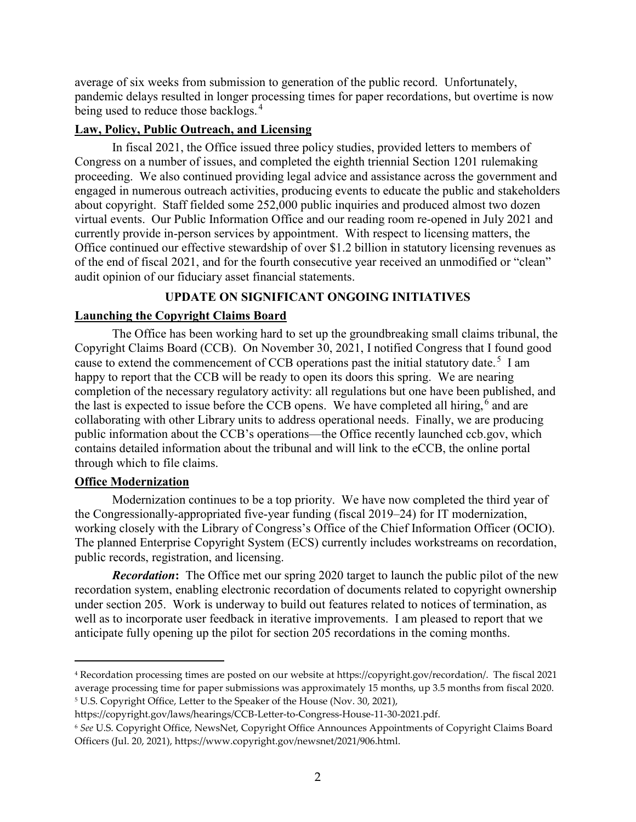average of six weeks from submission to generation of the public record. Unfortunately, pandemic delays resulted in longer processing times for paper recordations, but overtime is now being used to reduce those backlogs.<sup>4</sup>

#### **Law, Policy, Public Outreach, and Licensing**

In fiscal 2021, the Office issued three policy studies, provided letters to members of Congress on a number of issues, and completed the eighth triennial Section 1201 rulemaking proceeding. We also continued providing legal advice and assistance across the government and engaged in numerous outreach activities, producing events to educate the public and stakeholders about copyright. Staff fielded some 252,000 public inquiries and produced almost two dozen virtual events. Our Public Information Office and our reading room re-opened in July 2021 and currently provide in-person services by appointment. With respect to licensing matters, the Office continued our effective stewardship of over \$1.2 billion in statutory licensing revenues as of the end of fiscal 2021, and for the fourth consecutive year received an unmodified or "clean" audit opinion of our fiduciary asset financial statements.

# **UPDATE ON SIGNIFICANT ONGOING INITIATIVES**

### **Launching the Copyright Claims Board**

The Office has been working hard to set up the groundbreaking small claims tribunal, the Copyright Claims Board (CCB). On November 30, 2021, I notified Congress that I found good cause to extend the commencement of CCB operations past the initial statutory date.<sup>5</sup> I am happy to report that the CCB will be ready to open its doors this spring. We are nearing completion of the necessary regulatory activity: all regulations but one have been published, and the last is expected to issue before the CCB opens. We have completed all hiring,<sup>6</sup> and are collaborating with other Library units to address operational needs. Finally, we are producing public information about the CCB's operations—the Office recently launched ccb.gov, which contains detailed information about the tribunal and will link to the eCCB, the online portal through which to file claims.

### **Office Modernization**

 $\overline{a}$ 

Modernization continues to be a top priority. We have now completed the third year of the Congressionally-appropriated five-year funding (fiscal 2019–24) for IT modernization, working closely with the Library of Congress's Office of the Chief Information Officer (OCIO). The planned Enterprise Copyright System (ECS) currently includes workstreams on recordation, public records, registration, and licensing.

*Recordation***:** The Office met our spring 2020 target to launch the public pilot of the new recordation system, enabling electronic recordation of documents related to copyright ownership under section 205. Work is underway to build out features related to notices of termination, as well as to incorporate user feedback in iterative improvements. I am pleased to report that we anticipate fully opening up the pilot for section 205 recordations in the coming months.

<sup>4</sup> Recordation processing times are posted on our website at https://copyright.gov/recordation/. The fiscal 2021 average processing time for paper submissions was approximately 15 months, up 3.5 months from fiscal 2020. <sup>5</sup> U.S. Copyright Office, Letter to the Speaker of the House (Nov. 30, 2021),

https://copyright.gov/laws/hearings/CCB-Letter-to-Congress-House-11-30-2021.pdf.

<sup>6</sup> *See* U.S. Copyright Office, NewsNet, Copyright Office Announces Appointments of Copyright Claims Board Officers (Jul. 20, 2021), https://www.copyright.gov/newsnet/2021/906.html.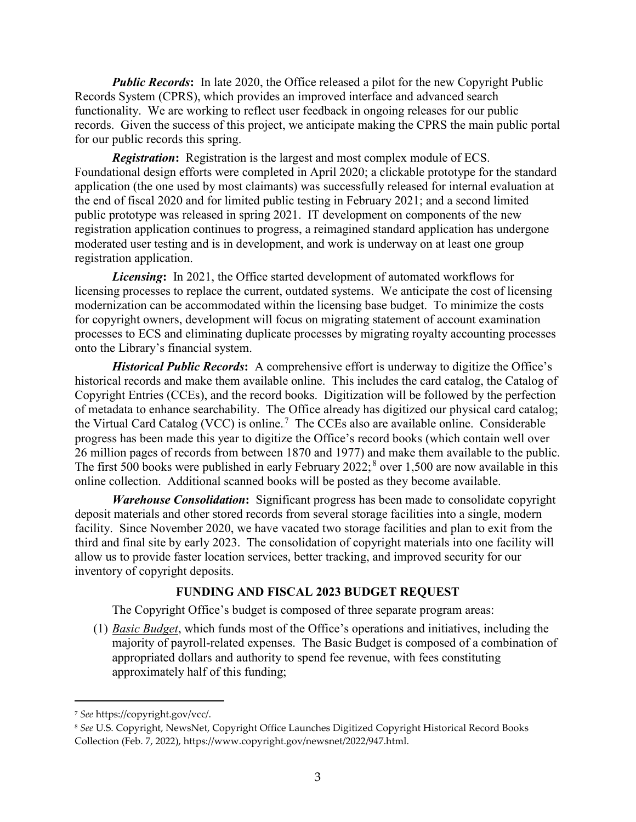*Public Records***:** In late 2020, the Office released a pilot for the new Copyright Public Records System (CPRS), which provides an improved interface and advanced search functionality. We are working to reflect user feedback in ongoing releases for our public records. Given the success of this project, we anticipate making the CPRS the main public portal for our public records this spring.

*Registration***:** Registration is the largest and most complex module of ECS. Foundational design efforts were completed in April 2020; a clickable prototype for the standard application (the one used by most claimants) was successfully released for internal evaluation at the end of fiscal 2020 and for limited public testing in February 2021; and a second limited public prototype was released in spring 2021. IT development on components of the new registration application continues to progress, a reimagined standard application has undergone moderated user testing and is in development, and work is underway on at least one group registration application.

*Licensing***:** In 2021, the Office started development of automated workflows for licensing processes to replace the current, outdated systems. We anticipate the cost of licensing modernization can be accommodated within the licensing base budget. To minimize the costs for copyright owners, development will focus on migrating statement of account examination processes to ECS and eliminating duplicate processes by migrating royalty accounting processes onto the Library's financial system.

*Historical Public Records***:** A comprehensive effort is underway to digitize the Office's historical records and make them available online. This includes the card catalog, the Catalog of Copyright Entries (CCEs), and the record books. Digitization will be followed by the perfection of metadata to enhance searchability. The Office already has digitized our physical card catalog; the Virtual Card Catalog (VCC) is online.<sup>7</sup> The CCEs also are available online. Considerable progress has been made this year to digitize the Office's record books (which contain well over 26 million pages of records from between 1870 and 1977) and make them available to the public. The first 500 books were published in early February  $2022$ ; over 1,500 are now available in this online collection. Additional scanned books will be posted as they become available.

*Warehouse Consolidation***:** Significant progress has been made to consolidate copyright deposit materials and other stored records from several storage facilities into a single, modern facility. Since November 2020, we have vacated two storage facilities and plan to exit from the third and final site by early 2023. The consolidation of copyright materials into one facility will allow us to provide faster location services, better tracking, and improved security for our inventory of copyright deposits.

### **FUNDING AND FISCAL 2023 BUDGET REQUEST**

The Copyright Office's budget is composed of three separate program areas:

(1) *Basic Budget*, which funds most of the Office's operations and initiatives, including the majority of payroll-related expenses. The Basic Budget is composed of a combination of appropriated dollars and authority to spend fee revenue, with fees constituting approximately half of this funding;

 $\overline{a}$ 

<sup>7</sup> *See* [https://copyright.gov/vcc/.](https://copyright.gov/vcc/)

<sup>8</sup> *See* U.S. Copyright, NewsNet, Copyright Office Launches Digitized Copyright Historical Record Books Collection (Feb. 7, 2022), https://www.copyright.gov/newsnet/2022/947.html.